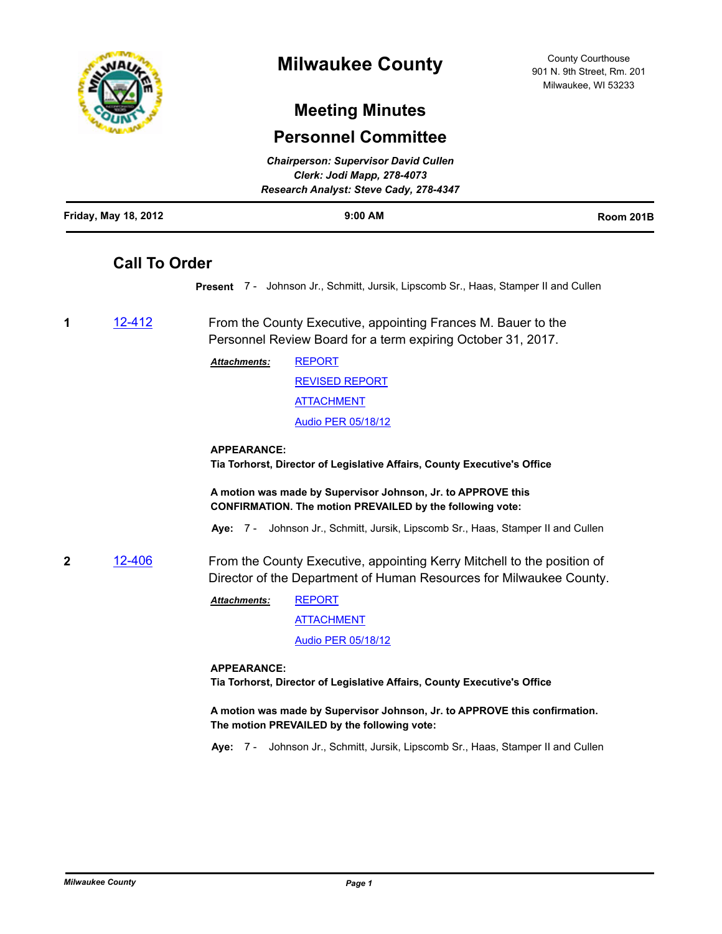

# **Milwaukee County**

County Courthouse 901 N. 9th Street, Rm. 201 Milwaukee, WI 53233

# **Meeting Minutes**

## **Personnel Committee**

|                      | <b>Chairperson: Supervisor David Cullen</b> |           |
|----------------------|---------------------------------------------|-----------|
|                      | Clerk: Jodi Mapp, 278-4073                  |           |
|                      | Research Analyst: Steve Cady, 278-4347      |           |
| Friday, May 18, 2012 | $9:00$ AM                                   | Room 201B |

## **Call To Order**

**Present** 7 - Johnson Jr., Schmitt, Jursik, Lipscomb Sr., Haas, Stamper II and Cullen

**1** [12-412](http://milwaukeecounty.legistar.com/gateway.aspx?m=l&id=/matter.aspx?key=2910) From the County Executive, appointing Frances M. Bauer to the Personnel Review Board for a term expiring October 31, 2017.

> [REPORT](http://MilwaukeeCounty.legistar.com/gateway.aspx?M=F&ID=e8a439e1-7400-4074-89a0-a9683ad50e72.docx) *Attachments:*

> > [REVISED REPORT](http://MilwaukeeCounty.legistar.com/gateway.aspx?M=F&ID=8df7eef4-aa07-48df-9c75-7298246d2361.pdf) [ATTACHMENT](http://MilwaukeeCounty.legistar.com/gateway.aspx?M=F&ID=c2bbc435-dc6a-4ba5-9daf-68934e463367.doc) [Audio PER 05/18/12](http://MilwaukeeCounty.legistar.com/gateway.aspx?M=F&ID=3984fb5b-811d-4d62-aead-cb25a953ef4b.MP3)

## **APPEARANCE:**

**Tia Torhorst, Director of Legislative Affairs, County Executive's Office**

**A motion was made by Supervisor Johnson, Jr. to APPROVE this CONFIRMATION. The motion PREVAILED by the following vote:**

**Aye:** 7 - Johnson Jr., Schmitt, Jursik, Lipscomb Sr., Haas, Stamper II and Cullen

**2** [12-406](http://milwaukeecounty.legistar.com/gateway.aspx?m=l&id=/matter.aspx?key=2903) From the County Executive, appointing Kerry Mitchell to the position of Director of the Department of Human Resources for Milwaukee County.

> [REPORT](http://MilwaukeeCounty.legistar.com/gateway.aspx?M=F&ID=9c3e5024-66c6-4103-a2c3-394d71aa84de.pdf) **[ATTACHMENT](http://MilwaukeeCounty.legistar.com/gateway.aspx?M=F&ID=d7b329b5-a409-4abf-a449-de108faa3422.pdf)** *Attachments:*

> > [Audio PER 05/18/12](http://MilwaukeeCounty.legistar.com/gateway.aspx?M=F&ID=04b48aaa-593d-40aa-a497-28eed657feeb.MP3)

### **APPEARANCE:**

**Tia Torhorst, Director of Legislative Affairs, County Executive's Office**

**A motion was made by Supervisor Johnson, Jr. to APPROVE this confirmation. The motion PREVAILED by the following vote:**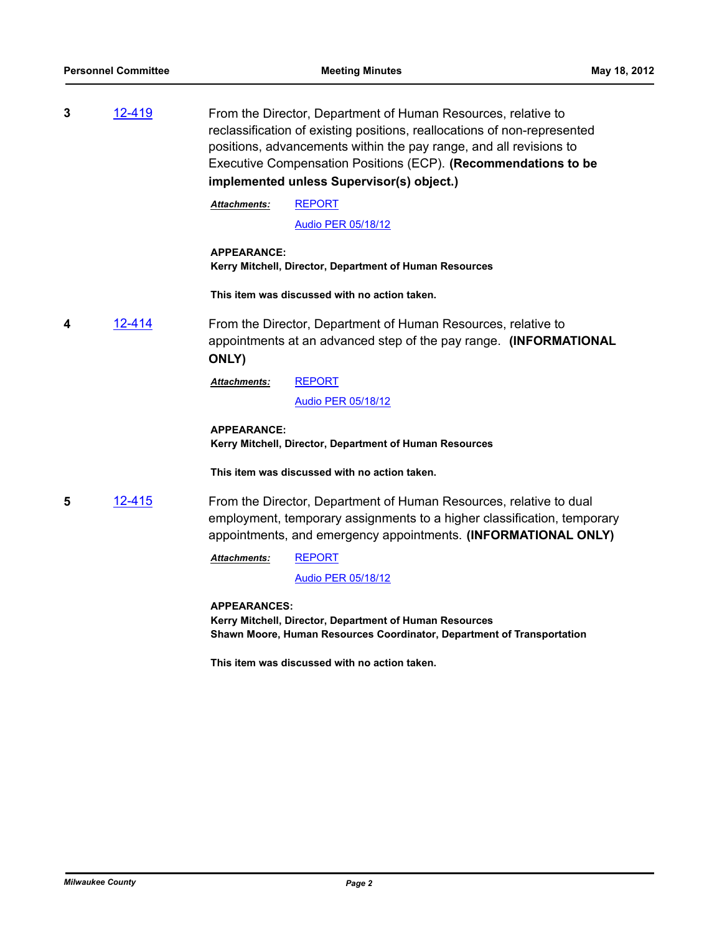**3** [12-419](http://milwaukeecounty.legistar.com/gateway.aspx?m=l&id=/matter.aspx?key=2917) From the Director, Department of Human Resources, relative to reclassification of existing positions, reallocations of non-represented positions, advancements within the pay range, and all revisions to Executive Compensation Positions (ECP). **(Recommendations to be implemented unless Supervisor(s) object.)**

> [REPORT](http://MilwaukeeCounty.legistar.com/gateway.aspx?M=F&ID=c2679d28-361d-482f-8397-abd279a5d4c3.pdf) *Attachments:*

> > [Audio PER 05/18/12](http://MilwaukeeCounty.legistar.com/gateway.aspx?M=F&ID=4a8984b6-8355-464a-8436-3d289ab09db3.MP3)

**APPEARANCE: Kerry Mitchell, Director, Department of Human Resources**

**This item was discussed with no action taken.**

**4** [12-414](http://milwaukeecounty.legistar.com/gateway.aspx?m=l&id=/matter.aspx?key=2912) From the Director, Department of Human Resources, relative to appointments at an advanced step of the pay range. **(INFORMATIONAL ONLY)**

> [REPORT](http://MilwaukeeCounty.legistar.com/gateway.aspx?M=F&ID=cfaf8752-108d-442d-91e7-e741b41fe862.pdf) *Attachments:*

> > [Audio PER 05/18/12](http://MilwaukeeCounty.legistar.com/gateway.aspx?M=F&ID=ad75a73d-8a68-402d-8d4a-5eb52a92e57c.MP3)

### **APPEARANCE: Kerry Mitchell, Director, Department of Human Resources**

**This item was discussed with no action taken.**

**5** [12-415](http://milwaukeecounty.legistar.com/gateway.aspx?m=l&id=/matter.aspx?key=2913) From the Director, Department of Human Resources, relative to dual employment, temporary assignments to a higher classification, temporary appointments, and emergency appointments. **(INFORMATIONAL ONLY)**

> [REPORT](http://MilwaukeeCounty.legistar.com/gateway.aspx?M=F&ID=5283f7d0-2e7e-467c-af78-5ed7ca866f55.pdf) *Attachments:*

> > [Audio PER 05/18/12](http://MilwaukeeCounty.legistar.com/gateway.aspx?M=F&ID=efce174d-89c4-4418-bdd7-9bbdff32c52d.MP3)

**APPEARANCES:**

**Kerry Mitchell, Director, Department of Human Resources Shawn Moore, Human Resources Coordinator, Department of Transportation**

**This item was discussed with no action taken.**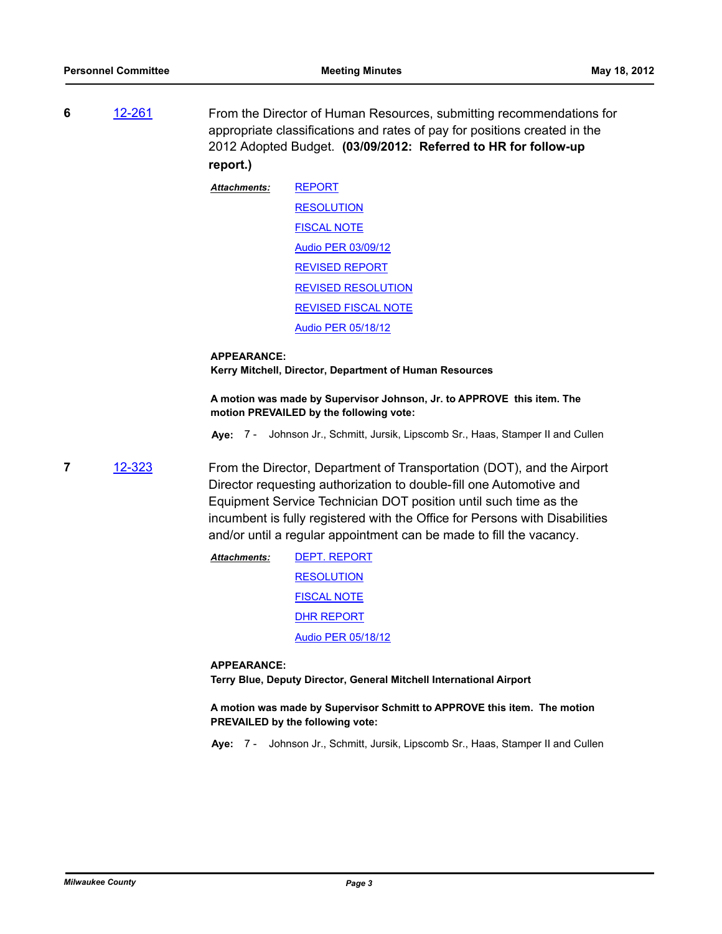**6** [12-261](http://milwaukeecounty.legistar.com/gateway.aspx?m=l&id=/matter.aspx?key=2769) From the Director of Human Resources, submitting recommendations for appropriate classifications and rates of pay for positions created in the 2012 Adopted Budget. **(03/09/2012: Referred to HR for follow-up report.)**

> [REPORT](http://MilwaukeeCounty.legistar.com/gateway.aspx?M=F&ID=d3bab1b7-8cb3-4ee2-994e-b4e63c2895d3.PDF) [RESOLUTION](http://MilwaukeeCounty.legistar.com/gateway.aspx?M=F&ID=f030afa4-4fe5-4719-bd36-b26f9dcbb186.doc) [FISCAL NOTE](http://MilwaukeeCounty.legistar.com/gateway.aspx?M=F&ID=024c5953-e792-4c98-be4f-179597f74dc4.doc) [Audio PER 03/09/12](http://MilwaukeeCounty.legistar.com/gateway.aspx?M=F&ID=3cd06256-105e-4f7a-969c-82b1153f3a5a.MP3) [REVISED REPORT](http://MilwaukeeCounty.legistar.com/gateway.aspx?M=F&ID=52b9a4cd-2fc6-4d3b-a0f0-4a55a8e60e35.pdf) [REVISED RESOLUTION](http://MilwaukeeCounty.legistar.com/gateway.aspx?M=F&ID=ca4fd46a-554c-480a-893d-5687007f4e27.doc) [REVISED FISCAL NOTE](http://MilwaukeeCounty.legistar.com/gateway.aspx?M=F&ID=0f20d028-f3b2-4450-ba7a-9f92733e9a37.pdf) [Audio PER 05/18/12](http://MilwaukeeCounty.legistar.com/gateway.aspx?M=F&ID=8d499a84-2a51-48f0-b87e-b61dad405967.MP3) *Attachments:*

#### **APPEARANCE:**

**Kerry Mitchell, Director, Department of Human Resources**

**A motion was made by Supervisor Johnson, Jr. to APPROVE this item. The motion PREVAILED by the following vote:**

**Aye:** 7 - Johnson Jr., Schmitt, Jursik, Lipscomb Sr., Haas, Stamper II and Cullen

- **7** [12-323](http://milwaukeecounty.legistar.com/gateway.aspx?m=l&id=/matter.aspx?key=2831) From the Director, Department of Transportation (DOT), and the Airport Director requesting authorization to double-fill one Automotive and Equipment Service Technician DOT position until such time as the incumbent is fully registered with the Office for Persons with Disabilities and/or until a regular appointment can be made to fill the vacancy.
	- [DEPT. REPORT](http://MilwaukeeCounty.legistar.com/gateway.aspx?M=F&ID=bbab8d6f-2b57-4ad8-8725-905e91fdb606.pdf) **[RESOLUTION](http://MilwaukeeCounty.legistar.com/gateway.aspx?M=F&ID=30a15b47-2c77-4f02-b15a-53db7d5ffeb3.doc)** [FISCAL NOTE](http://MilwaukeeCounty.legistar.com/gateway.aspx?M=F&ID=34dbe90e-1f3e-416d-be58-20f44dfd084e.doc) [DHR REPORT](http://MilwaukeeCounty.legistar.com/gateway.aspx?M=F&ID=fc3a8196-e8be-4a12-8282-f23da7533576.pdf) [Audio PER 05/18/12](http://MilwaukeeCounty.legistar.com/gateway.aspx?M=F&ID=9d074e49-da48-46f1-9ce3-9fbaa8fea115.MP3) *Attachments:*

#### **APPEARANCE:**

**Terry Blue, Deputy Director, General Mitchell International Airport**

**A motion was made by Supervisor Schmitt to APPROVE this item. The motion PREVAILED by the following vote:**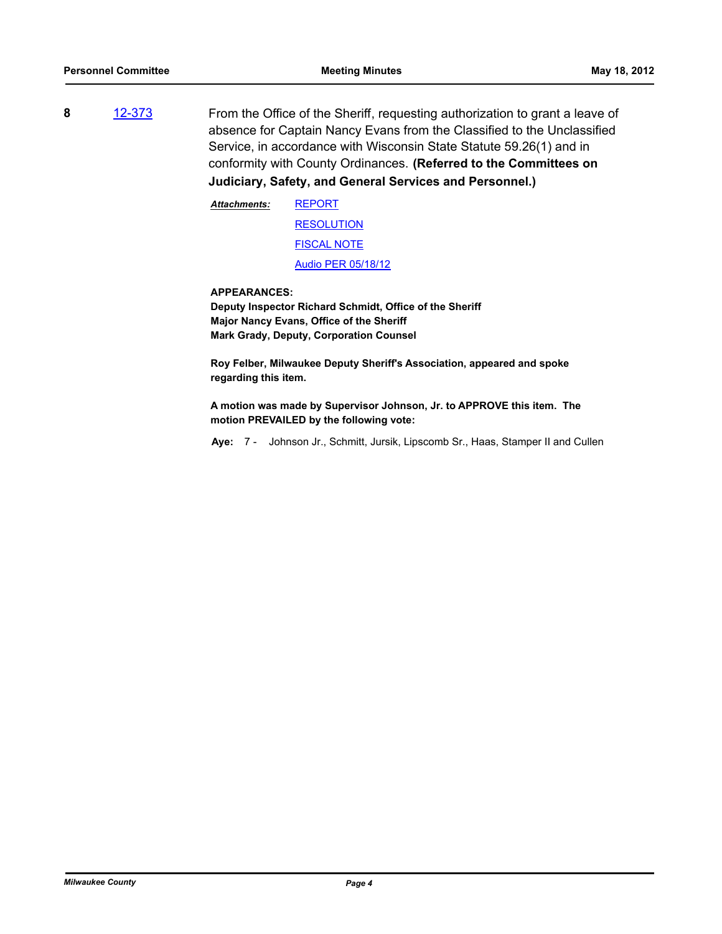**8** [12-373](http://milwaukeecounty.legistar.com/gateway.aspx?m=l&id=/matter.aspx?key=2871) From the Office of the Sheriff, requesting authorization to grant a leave of absence for Captain Nancy Evans from the Classified to the Unclassified Service, in accordance with Wisconsin State Statute 59.26(1) and in conformity with County Ordinances. **(Referred to the Committees on Judiciary, Safety, and General Services and Personnel.)**

> **[REPORT](http://MilwaukeeCounty.legistar.com/gateway.aspx?M=F&ID=14826789-971b-42e6-a5a5-a7a264034678.pdf)** [RESOLUTION](http://MilwaukeeCounty.legistar.com/gateway.aspx?M=F&ID=ad626772-b9ac-4368-973e-09d3b3ca324f.doc) [FISCAL NOTE](http://MilwaukeeCounty.legistar.com/gateway.aspx?M=F&ID=80c974e5-db2f-46e2-91d7-aec746713491.doc) [Audio PER 05/18/12](http://MilwaukeeCounty.legistar.com/gateway.aspx?M=F&ID=aadf63b6-a212-4725-a25a-6748cd902a26.MP3) *Attachments:*

**APPEARANCES:**

**Deputy Inspector Richard Schmidt, Office of the Sheriff Major Nancy Evans, Office of the Sheriff Mark Grady, Deputy, Corporation Counsel**

**Roy Felber, Milwaukee Deputy Sheriff's Association, appeared and spoke regarding this item.**

**A motion was made by Supervisor Johnson, Jr. to APPROVE this item. The motion PREVAILED by the following vote:**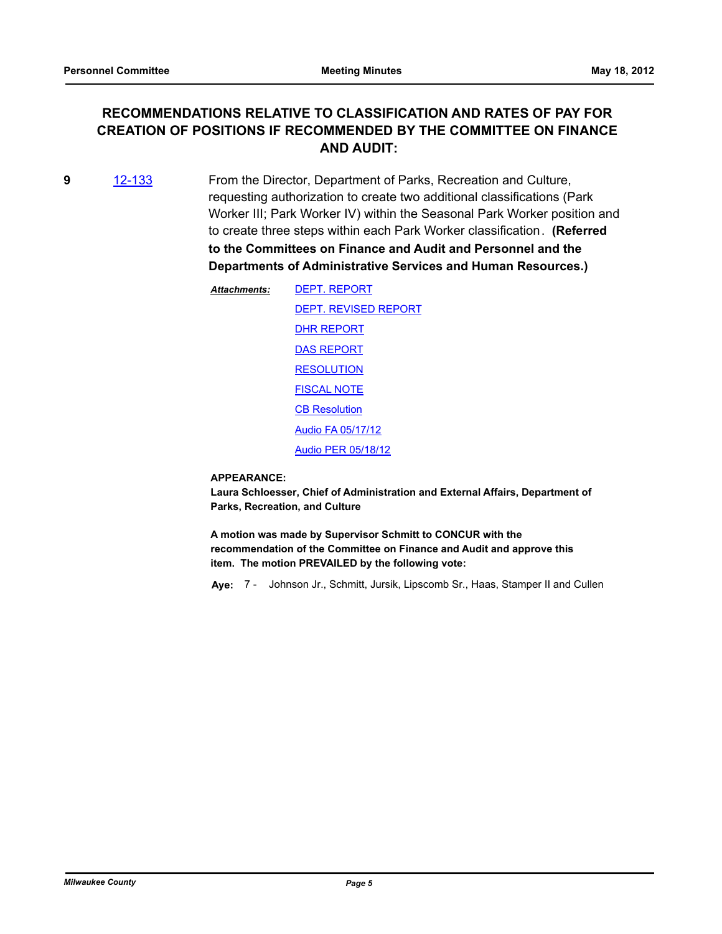## **RECOMMENDATIONS RELATIVE TO CLASSIFICATION AND RATES OF PAY FOR CREATION OF POSITIONS IF RECOMMENDED BY THE COMMITTEE ON FINANCE AND AUDIT:**

- **9** [12-133](http://milwaukeecounty.legistar.com/gateway.aspx?m=l&id=/matter.aspx?key=2640) From the Director, Department of Parks, Recreation and Culture, requesting authorization to create two additional classifications (Park Worker III; Park Worker IV) within the Seasonal Park Worker position and to create three steps within each Park Worker classification. **(Referred to the Committees on Finance and Audit and Personnel and the Departments of Administrative Services and Human Resources.)**
	- [DEPT. REPORT](http://MilwaukeeCounty.legistar.com/gateway.aspx?M=F&ID=656ba260-0a9c-4c68-a2b9-d23b3c2fa8ff.doc) [DEPT. REVISED REPORT](http://MilwaukeeCounty.legistar.com/gateway.aspx?M=F&ID=108c0998-c259-4216-adda-0f74be0fb429.pdf) [DHR REPORT](http://MilwaukeeCounty.legistar.com/gateway.aspx?M=F&ID=44d96d7c-72dd-4105-9fb8-cab967290ca9.pdf) [DAS REPORT](http://MilwaukeeCounty.legistar.com/gateway.aspx?M=F&ID=0cd448c0-5435-45dd-bee2-b05e0457b9cf.pdf) **[RESOLUTION](http://MilwaukeeCounty.legistar.com/gateway.aspx?M=F&ID=0144ef25-e836-4fb3-8885-553f3ce41ce0.doc)** [FISCAL NOTE](http://MilwaukeeCounty.legistar.com/gateway.aspx?M=F&ID=fabd5ddf-6fbd-49b1-89b2-4828973d13bd.pdf) **[CB Resolution](http://MilwaukeeCounty.legistar.com/gateway.aspx?M=F&ID=24b46fcf-3839-44ad-b42d-d248f34ec230.doc)** [Audio FA 05/17/12](http://MilwaukeeCounty.legistar.com/gateway.aspx?M=F&ID=5cd073dd-47dc-4d9a-a4d8-0d29f00cae4d.MP3) [Audio PER 05/18/12](http://MilwaukeeCounty.legistar.com/gateway.aspx?M=F&ID=836a6195-7469-406b-b8de-aad440334b27.MP3) *Attachments:*

#### **APPEARANCE:**

**Laura Schloesser, Chief of Administration and External Affairs, Department of Parks, Recreation, and Culture**

**A motion was made by Supervisor Schmitt to CONCUR with the recommendation of the Committee on Finance and Audit and approve this item. The motion PREVAILED by the following vote:**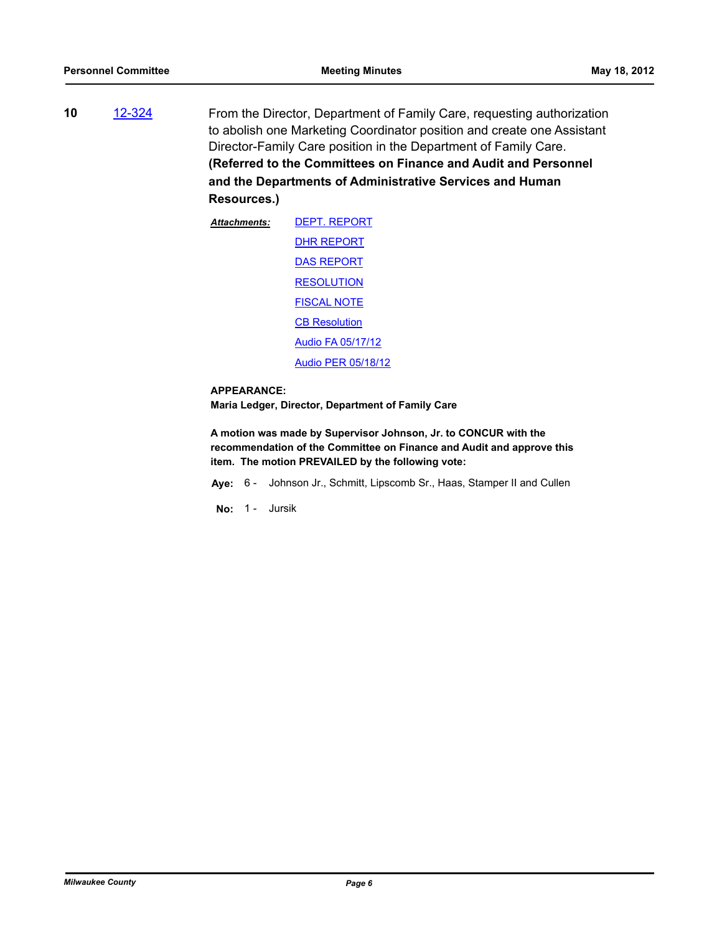**10** [12-324](http://milwaukeecounty.legistar.com/gateway.aspx?m=l&id=/matter.aspx?key=2832) From the Director, Department of Family Care, requesting authorization to abolish one Marketing Coordinator position and create one Assistant Director-Family Care position in the Department of Family Care. **(Referred to the Committees on Finance and Audit and Personnel and the Departments of Administrative Services and Human Resources.)**

| Attachments: | <b>DEPT. REPORT</b>      |
|--------------|--------------------------|
|              | DHR REPORT               |
|              | <b>DAS REPORT</b>        |
|              | <b>RESOLUTION</b>        |
|              | <b>FISCAL NOTE</b>       |
|              | <b>CB Resolution</b>     |
|              | <b>Audio FA 05/17/12</b> |
|              | Audio PER 05/18/12       |

### **APPEARANCE:**

**Maria Ledger, Director, Department of Family Care**

**A motion was made by Supervisor Johnson, Jr. to CONCUR with the recommendation of the Committee on Finance and Audit and approve this item. The motion PREVAILED by the following vote:**

**Aye:** 6 - Johnson Jr., Schmitt, Lipscomb Sr., Haas, Stamper II and Cullen

**No:** 1 - Jursik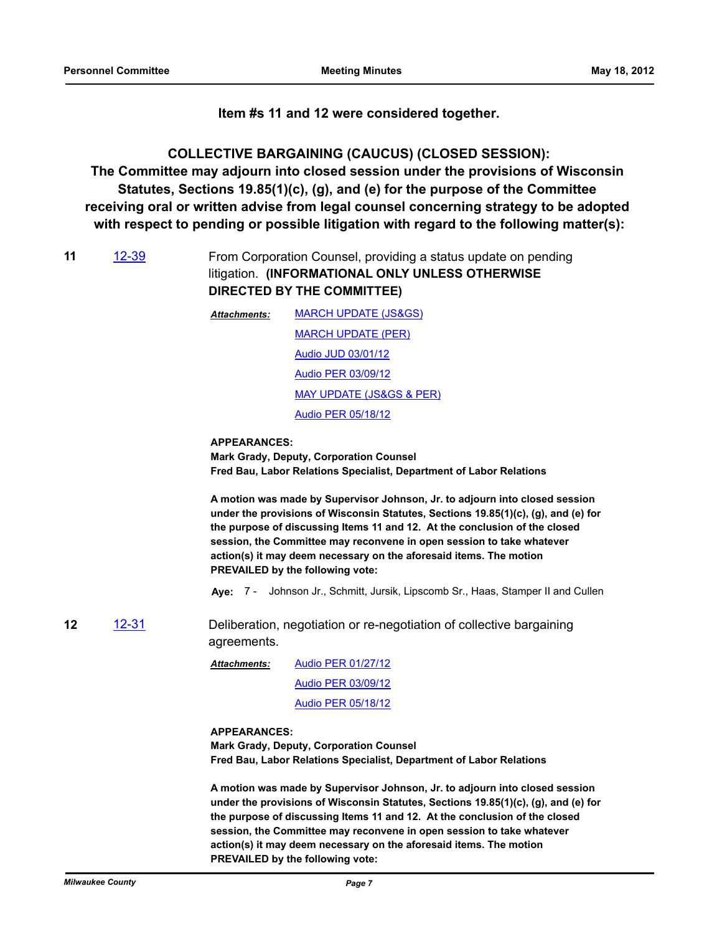**Item #s 11 and 12 were considered together.**

**COLLECTIVE BARGAINING (CAUCUS) (CLOSED SESSION): The Committee may adjourn into closed session under the provisions of Wisconsin Statutes, Sections 19.85(1)(c), (g), and (e) for the purpose of the Committee receiving oral or written advise from legal counsel concerning strategy to be adopted with respect to pending or possible litigation with regard to the following matter(s):**

- **11** [12-39](http://milwaukeecounty.legistar.com/gateway.aspx?m=l&id=/matter.aspx?key=2772) From Corporation Counsel, providing a status update on pending litigation. **(INFORMATIONAL ONLY UNLESS OTHERWISE DIRECTED BY THE COMMITTEE)**
	- [MARCH UPDATE \(JS&GS\)](http://MilwaukeeCounty.legistar.com/gateway.aspx?M=F&ID=ba1af95b-7574-4f5a-ace7-7ab2e091f5d3.pdf) [MARCH UPDATE \(PER\)](http://MilwaukeeCounty.legistar.com/gateway.aspx?M=F&ID=19ac18a4-f0ca-437f-9a96-3eec67a5b257.doc) [Audio JUD 03/01/12](http://MilwaukeeCounty.legistar.com/gateway.aspx?M=F&ID=f0f3f6b3-b4f3-40c9-823a-26eb2095125d.MP3) [Audio PER 03/09/12](http://MilwaukeeCounty.legistar.com/gateway.aspx?M=F&ID=e99da4a4-7b5c-44d6-9989-a17e334e13c9.MP3) [MAY UPDATE \(JS&GS & PER\)](http://MilwaukeeCounty.legistar.com/gateway.aspx?M=F&ID=1cdd8984-c957-431e-9cbd-4509b46e2e1c.docx) [Audio PER 05/18/12](http://MilwaukeeCounty.legistar.com/gateway.aspx?M=F&ID=d4da7efe-0293-4ddf-9c2b-b457454992a8.MP3) *Attachments:*

#### **APPEARANCES:**

**Mark Grady, Deputy, Corporation Counsel Fred Bau, Labor Relations Specialist, Department of Labor Relations**

**A motion was made by Supervisor Johnson, Jr. to adjourn into closed session under the provisions of Wisconsin Statutes, Sections 19.85(1)(c), (g), and (e) for the purpose of discussing Items 11 and 12. At the conclusion of the closed session, the Committee may reconvene in open session to take whatever action(s) it may deem necessary on the aforesaid items. The motion PREVAILED by the following vote:**

**Aye:** 7 - Johnson Jr., Schmitt, Jursik, Lipscomb Sr., Haas, Stamper II and Cullen

**12** [12-31](http://milwaukeecounty.legistar.com/gateway.aspx?m=l&id=/matter.aspx?key=2657) Deliberation, negotiation or re-negotiation of collective bargaining agreements.

> [Audio PER 01/27/12](http://MilwaukeeCounty.legistar.com/gateway.aspx?M=F&ID=58ab903d-da07-4f82-aa77-f99c60f238a8.MP3) [Audio PER 03/09/12](http://MilwaukeeCounty.legistar.com/gateway.aspx?M=F&ID=43f29d04-1743-491a-ba21-ea032a2dc767.MP3) [Audio PER 05/18/12](http://MilwaukeeCounty.legistar.com/gateway.aspx?M=F&ID=ec46405d-d510-4d7d-b983-3f3970b504e8.MP3) *Attachments:*

#### **APPEARANCES:**

**Mark Grady, Deputy, Corporation Counsel Fred Bau, Labor Relations Specialist, Department of Labor Relations**

**A motion was made by Supervisor Johnson, Jr. to adjourn into closed session under the provisions of Wisconsin Statutes, Sections 19.85(1)(c), (g), and (e) for the purpose of discussing Items 11 and 12. At the conclusion of the closed session, the Committee may reconvene in open session to take whatever action(s) it may deem necessary on the aforesaid items. The motion PREVAILED by the following vote:**